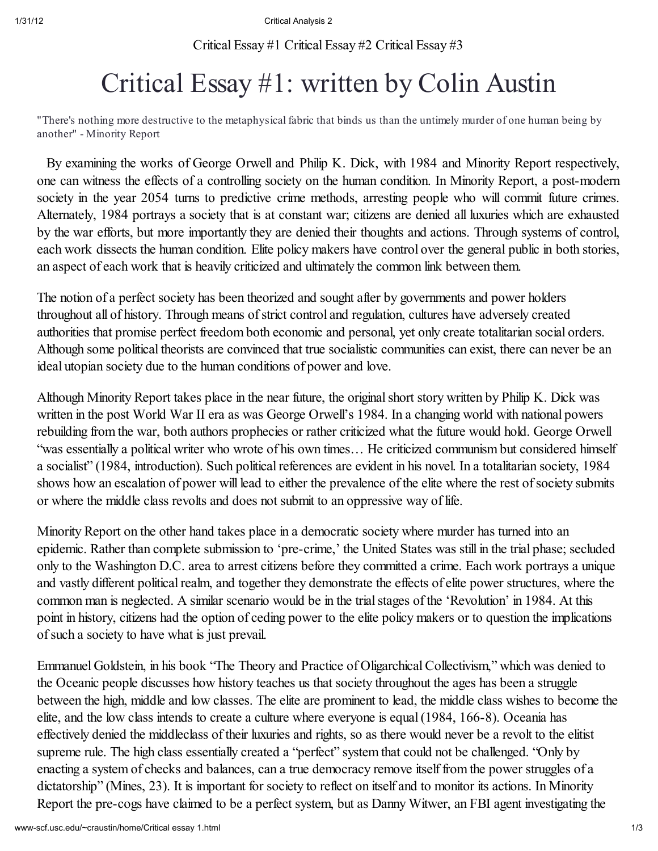Critical Essay #1 Critical Essay #2 Critical Essay #3

## Critical Essay #1: written by Colin Austin

"There's nothing more destructive to the metaphysical fabric that binds us than the untimely murder of one human being by another" - Minority Report

By examining the works of George Orwell and Philip K. Dick, with 1984 and Minority Report respectively, one can witness the effects of a controlling society on the human condition. In Minority Report, a post-modern society in the year 2054 turns to predictive crime methods, arresting people who will commit future crimes. Alternately, 1984 portrays a society that is at constant war; citizens are denied all luxuries which are exhausted by the war efforts, but more importantly they are denied their thoughts and actions. Through systems of control, each work dissects the human condition. Elite policy makers have control over the general public in both stories, an aspect of each work that is heavily criticized and ultimately the common link between them.

The notion of a perfect society has been theorized and sought after by governments and power holders throughout all of history. Through means of strict control and regulation, cultures have adversely created authorities that promise perfect freedom both economic and personal, yet only create totalitarian social orders. Although some political theorists are convinced that true socialistic communities can exist, there can never be an ideal utopian society due to the human conditions of power and love.

Although Minority Report takes place in the near future, the originalshort story written by Philip K. Dick was written in the post World War II era as was George Orwell's 1984. In a changing world with national powers rebuilding from the war, both authors prophecies or rather criticized what the future would hold. George Orwell "was essentially a political writer who wrote of his own times… He criticized communism but considered himself a socialist" (1984, introduction). Such political references are evident in his novel. In a totalitarian society, 1984 shows how an escalation of power will lead to either the prevalence of the elite where the rest of society submits or where the middle class revolts and does not submit to an oppressive way of life.

Minority Report on the other hand takes place in a democratic society where murder has turned into an epidemic. Rather than complete submission to 'pre-crime,' the United States was still in the trial phase; secluded only to the Washington D.C. area to arrest citizens before they committed a crime. Each work portrays a unique and vastly different political realm, and together they demonstrate the effects of elite power structures, where the common man is neglected. A similar scenario would be in the trial stages of the 'Revolution' in 1984. At this point in history, citizens had the option of ceding power to the elite policy makers or to question the implications ofsuch a society to have what is just prevail.

Emmanuel Goldstein, in his book "The Theory and Practice of Oligarchical Collectivism," which was denied to the Oceanic people discusses how history teaches us that society throughout the ages has been a struggle between the high, middle and low classes. The elite are prominent to lead, the middle class wishes to become the elite, and the low class intends to create a culture where everyone is equal(1984, 166-8). Oceania has effectively denied the middleclass of their luxuries and rights, so as there would never be a revolt to the elitist supreme rule. The high class essentially created a "perfect" system that could not be challenged. "Only by enacting a system of checks and balances, can a true democracy remove itself from the power struggles of a dictatorship" (Mines, 23). It is important for society to reflect on itself and to monitor its actions. In Minority Report the pre-cogs have claimed to be a perfect system, but as Danny Witwer, an FBI agent investigating the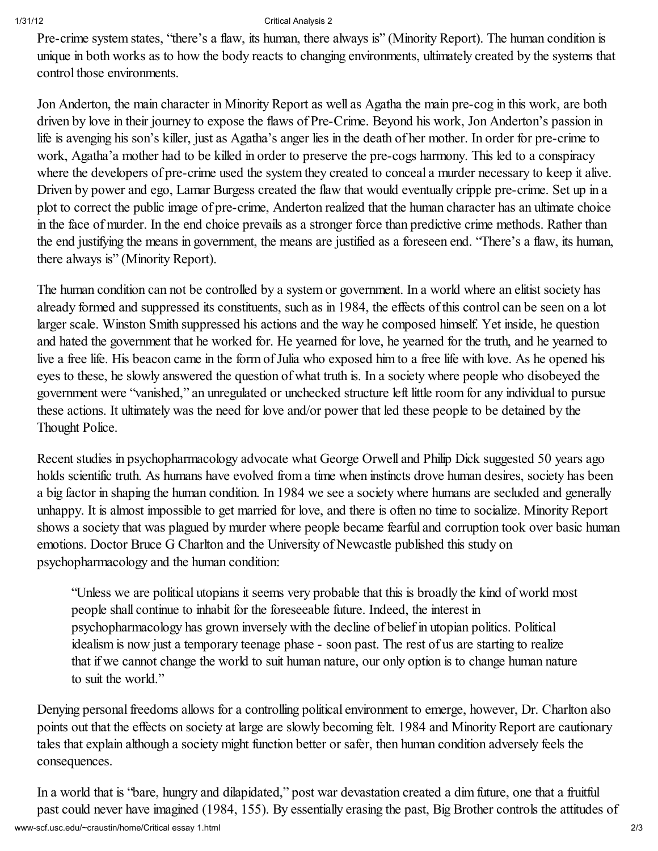## 1/31/12 Critical Analysis 2

Pre-crime system states, "there's a flaw, its human, there always is" (Minority Report). The human condition is unique in both works as to how the body reacts to changing environments, ultimately created by the systems that control those environments.

Jon Anderton, the main character in Minority Report as well as Agatha the main pre-cog in this work, are both driven by love in their journey to expose the flaws of Pre-Crime. Beyond his work, Jon Anderton's passion in life is avenging his son's killer, just as Agatha's anger lies in the death of her mother. In order for pre-crime to work, Agatha'a mother had to be killed in order to preserve the pre-cogs harmony. This led to a conspiracy where the developers of pre-crime used the system they created to conceal a murder necessary to keep it alive. Driven by power and ego, Lamar Burgess created the flaw that would eventually cripple pre-crime. Set up in a plot to correct the public image of pre-crime, Anderton realized that the human character has an ultimate choice in the face of murder. In the end choice prevails as a stronger force than predictive crime methods. Rather than the end justifying the means in government, the means are justified as a foreseen end. "There's a flaw, its human, there always is" (Minority Report).

The human condition can not be controlled by a system or government. In a world where an elitist society has already formed and suppressed its constituents, such as in 1984, the effects of this control can be seen on a lot larger scale. Winston Smith suppressed his actions and the way he composed himself. Yet inside, he question and hated the government that he worked for. He yearned for love, he yearned for the truth, and he yearned to live a free life. His beacon came in the form of Julia who exposed him to a free life with love. As he opened his eyes to these, he slowly answered the question of what truth is. In a society where people who disobeyed the government were "vanished," an unregulated or unchecked structure left little room for any individual to pursue these actions. It ultimately was the need for love and/or power that led these people to be detained by the Thought Police.

Recent studies in psychopharmacology advocate what George Orwell and Philip Dick suggested 50 years ago holds scientific truth. As humans have evolved from a time when instincts drove human desires, society has been a big factor in shaping the human condition. In 1984 we see a society where humans are secluded and generally unhappy. It is almost impossible to get married for love, and there is often no time to socialize. Minority Report shows a society that was plagued by murder where people became fearful and corruption took over basic human emotions. Doctor Bruce G Charlton and the University of Newcastle published this study on psychopharmacology and the human condition:

"Unless we are political utopians it seems very probable that this is broadly the kind of world most people shall continue to inhabit for the foreseeable future. Indeed, the interest in psychopharmacology has grown inversely with the decline of belief in utopian politics. Political idealism is now just a temporary teenage phase - soon past. The rest of us are starting to realize that if we cannot change the world to suit human nature, our only option is to change human nature to suit the world."

Denying personal freedoms allows for a controlling political environment to emerge, however, Dr. Charlton also points out that the effects on society at large are slowly becoming felt. 1984 and Minority Report are cautionary tales that explain although a society might function better or safer, then human condition adversely feels the consequences.

www-scf.usc.edu/~craustin/home/Critical essay 1.html 2/3 In a world that is "bare, hungry and dilapidated," post war devastation created a dim future, one that a fruitful past could never have imagined (1984, 155). By essentially erasing the past, Big Brother controls the attitudes of